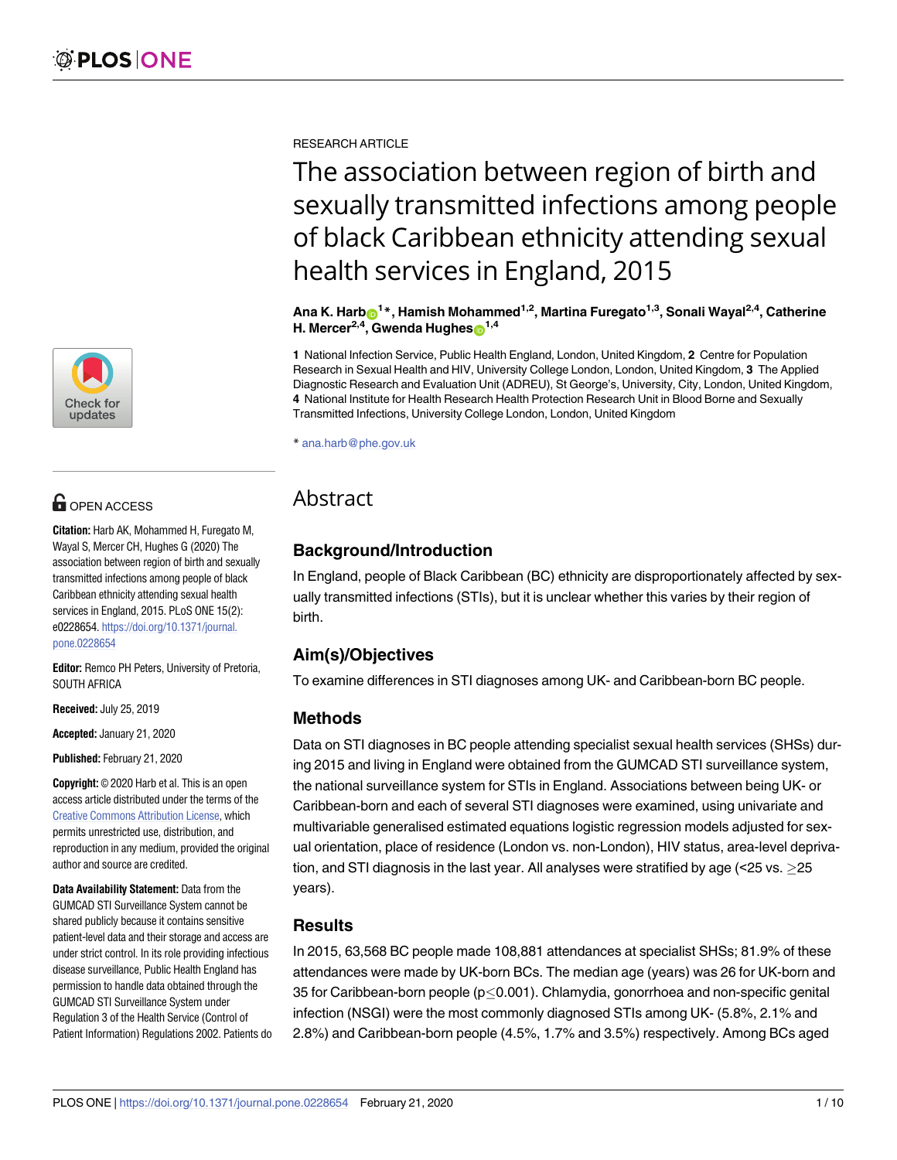

# **OPEN ACCESS**

**Citation:** Harb AK, Mohammed H, Furegato M, Wayal S, Mercer CH, Hughes G (2020) The association between region of birth and sexually transmitted infections among people of black Caribbean ethnicity attending sexual health services in England, 2015. PLoS ONE 15(2): e0228654. [https://doi.org/10.1371/journal.](https://doi.org/10.1371/journal.pone.0228654) [pone.0228654](https://doi.org/10.1371/journal.pone.0228654)

**Editor:** Remco PH Peters, University of Pretoria, SOUTH AFRICA

**Received:** July 25, 2019

**Accepted:** January 21, 2020

**Published:** February 21, 2020

**Copyright:** © 2020 Harb et al. This is an open access article distributed under the terms of the Creative Commons [Attribution](http://creativecommons.org/licenses/by/4.0/) License, which permits unrestricted use, distribution, and reproduction in any medium, provided the original author and source are credited.

**Data Availability Statement:** Data from the GUMCAD STI Surveillance System cannot be shared publicly because it contains sensitive patient-level data and their storage and access are under strict control. In its role providing infectious disease surveillance, Public Health England has permission to handle data obtained through the GUMCAD STI Surveillance System under Regulation 3 of the Health Service (Control of Patient Information) Regulations 2002. Patients do RESEARCH ARTICLE

# The association between region of birth and sexually transmitted infections among people of black Caribbean ethnicity attending sexual health services in England, 2015

 $\mathsf{A}$ na K. Harb $\mathsf{D}^{1*}$ , Hamish Mohammed<sup>1,2</sup>, Martina Furegato<sup>1,3</sup>, Sonali Wayal<sup>2,4</sup>, Catherine **H.** Mercer<sup>2,4</sup>, Gwenda Hughes<sup>1,4</sup>

**1** National Infection Service, Public Health England, London, United Kingdom, **2** Centre for Population Research in Sexual Health and HIV, University College London, London, United Kingdom, **3** The Applied Diagnostic Research and Evaluation Unit (ADREU), St George's, University, City, London, United Kingdom, **4** National Institute for Health Research Health Protection Research Unit in Blood Borne and Sexually Transmitted Infections, University College London, London, United Kingdom

\* ana.harb@phe.gov.uk

## Abstract

## **Background/Introduction**

In England, people of Black Caribbean (BC) ethnicity are disproportionately affected by sexually transmitted infections (STIs), but it is unclear whether this varies by their region of birth.

## **Aim(s)/Objectives**

To examine differences in STI diagnoses among UK- and Caribbean-born BC people.

## **Methods**

Data on STI diagnoses in BC people attending specialist sexual health services (SHSs) during 2015 and living in England were obtained from the GUMCAD STI surveillance system, the national surveillance system for STIs in England. Associations between being UK- or Caribbean-born and each of several STI diagnoses were examined, using univariate and multivariable generalised estimated equations logistic regression models adjusted for sexual orientation, place of residence (London vs. non-London), HIV status, area-level deprivation, and STI diagnosis in the last year. All analyses were stratified by age ( $\leq$  5 vs.  $\geq$  25 years).

## **Results**

In 2015, 63,568 BC people made 108,881 attendances at specialist SHSs; 81.9% of these attendances were made by UK-born BCs. The median age (years) was 26 for UK-born and 35 for Caribbean-born people  $(p<0.001)$ . Chlamydia, gonorrhoea and non-specific genital infection (NSGI) were the most commonly diagnosed STIs among UK- (5.8%, 2.1% and 2.8%) and Caribbean-born people (4.5%, 1.7% and 3.5%) respectively. Among BCs aged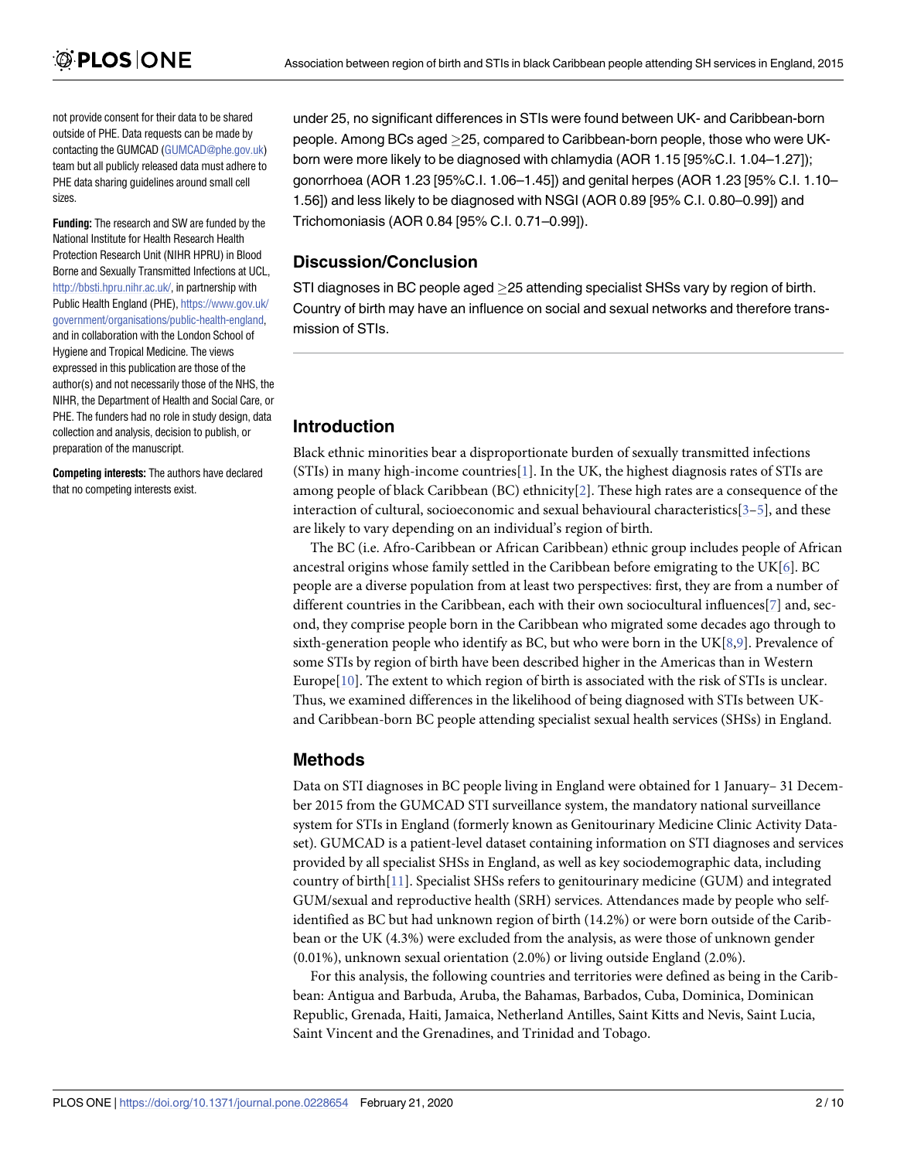<span id="page-1-0"></span>not provide consent for their data to be shared outside of PHE. Data requests can be made by contacting the GUMCAD [\(GUMCAD@phe.gov.uk\)](mailto:GUMCAD@phe.gov.uk) team but all publicly released data must adhere to PHE data sharing guidelines around small cell sizes.

**Funding:** The research and SW are funded by the National Institute for Health Research Health Protection Research Unit (NIHR HPRU) in Blood Borne and Sexually Transmitted Infections at UCL, [http://bbsti.hpru.nihr.ac.uk/,](http://bbsti.hpru.nihr.ac.uk/) in partnership with Public Health England (PHE), [https://www.gov.uk/](https://www.gov.uk/government/organisations/public-health-england) [government/organisations/public-health-england](https://www.gov.uk/government/organisations/public-health-england), and in collaboration with the London School of Hygiene and Tropical Medicine. The views expressed in this publication are those of the author(s) and not necessarily those of the NHS, the NIHR, the Department of Health and Social Care, or PHE. The funders had no role in study design, data collection and analysis, decision to publish, or preparation of the manuscript.

**Competing interests:** The authors have declared that no competing interests exist.

under 25, no significant differences in STIs were found between UK- and Caribbean-born people. Among BCs aged �25, compared to Caribbean-born people, those who were UKborn were more likely to be diagnosed with chlamydia (AOR 1.15 [95%C.I. 1.04–1.27]); gonorrhoea (AOR 1.23 [95%C.I. 1.06–1.45]) and genital herpes (AOR 1.23 [95% C.I. 1.10– 1.56]) and less likely to be diagnosed with NSGI (AOR 0.89 [95% C.I. 0.80–0.99]) and Trichomoniasis (AOR 0.84 [95% C.I. 0.71–0.99]).

## **Discussion/Conclusion**

STI diagnoses in BC people aged  $\geq$ 25 attending specialist SHSs vary by region of birth. Country of birth may have an influence on social and sexual networks and therefore transmission of STIs.

## **Introduction**

Black ethnic minorities bear a disproportionate burden of sexually transmitted infections (STIs) in many high-income countries[\[1\]](#page-7-0). In the UK, the highest diagnosis rates of STIs are among people of black Caribbean (BC) ethnicity[[2](#page-8-0)]. These high rates are a consequence of the interaction of cultural, socioeconomic and sexual behavioural characteristics[[3–5\]](#page-8-0), and these are likely to vary depending on an individual's region of birth.

The BC (i.e. Afro-Caribbean or African Caribbean) ethnic group includes people of African ancestral origins whose family settled in the Caribbean before emigrating to the  $UK[6]$  $UK[6]$  $UK[6]$ . BC people are a diverse population from at least two perspectives: first, they are from a number of different countries in the Caribbean, each with their own sociocultural influences[[7](#page-8-0)] and, second, they comprise people born in the Caribbean who migrated some decades ago through to sixth-generation people who identify as BC, but who were born in the UK[[8,9\]](#page-8-0). Prevalence of some STIs by region of birth have been described higher in the Americas than in Western Europe $[10]$  $[10]$  $[10]$ . The extent to which region of birth is associated with the risk of STIs is unclear. Thus, we examined differences in the likelihood of being diagnosed with STIs between UKand Caribbean-born BC people attending specialist sexual health services (SHSs) in England.

## **Methods**

Data on STI diagnoses in BC people living in England were obtained for 1 January– 31 December 2015 from the GUMCAD STI surveillance system, the mandatory national surveillance system for STIs in England (formerly known as Genitourinary Medicine Clinic Activity Dataset). GUMCAD is a patient-level dataset containing information on STI diagnoses and services provided by all specialist SHSs in England, as well as key sociodemographic data, including country of birth[[11](#page-8-0)]. Specialist SHSs refers to genitourinary medicine (GUM) and integrated GUM/sexual and reproductive health (SRH) services. Attendances made by people who selfidentified as BC but had unknown region of birth (14.2%) or were born outside of the Caribbean or the UK (4.3%) were excluded from the analysis, as were those of unknown gender (0.01%), unknown sexual orientation (2.0%) or living outside England (2.0%).

For this analysis, the following countries and territories were defined as being in the Caribbean: Antigua and Barbuda, Aruba, the Bahamas, Barbados, Cuba, Dominica, Dominican Republic, Grenada, Haiti, Jamaica, Netherland Antilles, Saint Kitts and Nevis, Saint Lucia, Saint Vincent and the Grenadines, and Trinidad and Tobago.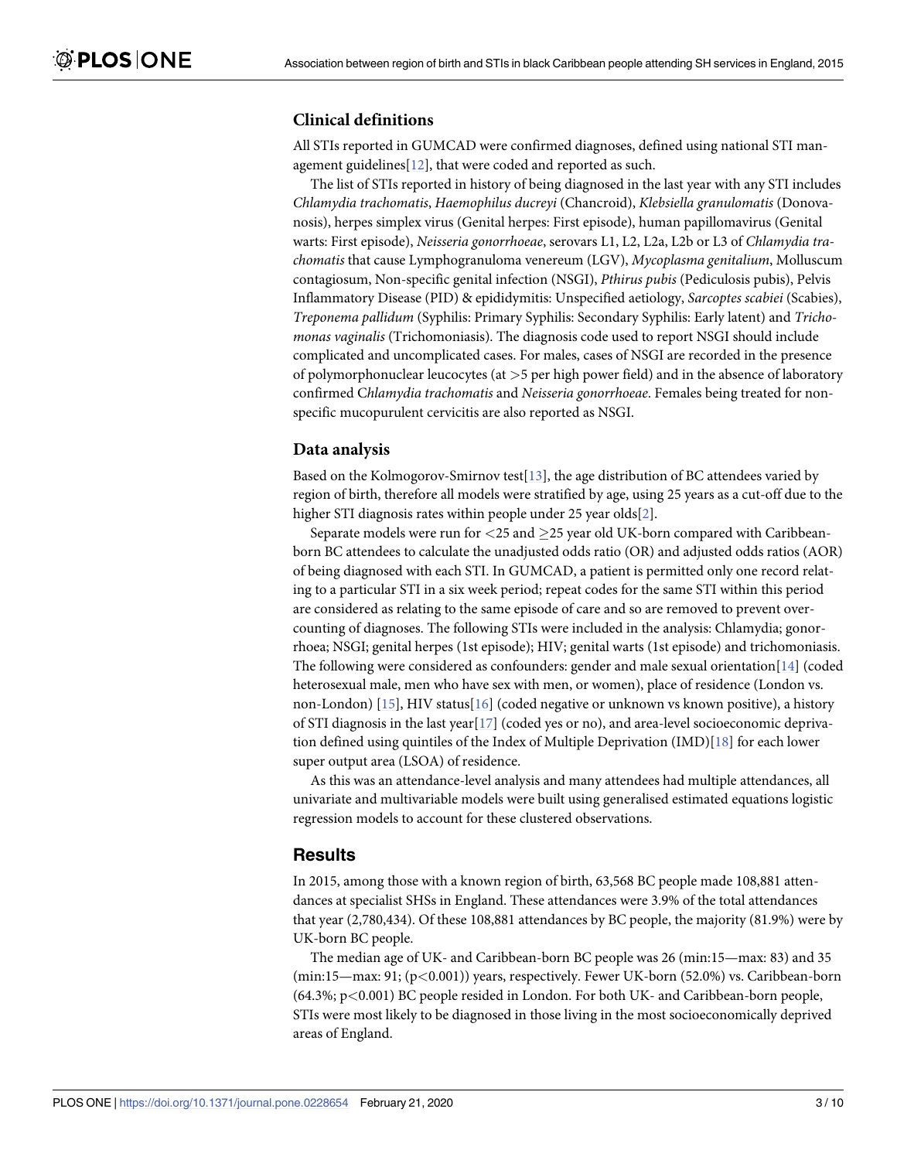#### <span id="page-2-0"></span>**Clinical definitions**

All STIs reported in GUMCAD were confirmed diagnoses, defined using national STI management guidelines[\[12\]](#page-8-0), that were coded and reported as such.

The list of STIs reported in history of being diagnosed in the last year with any STI includes *Chlamydia trachomatis*, *Haemophilus ducreyi* (Chancroid), *Klebsiella granulomatis* (Donovanosis), herpes simplex virus (Genital herpes: First episode), human papillomavirus (Genital warts: First episode), *Neisseria gonorrhoeae*, serovars L1, L2, L2a, L2b or L3 of *Chlamydia trachomatis* that cause Lymphogranuloma venereum (LGV), *Mycoplasma genitalium*, Molluscum contagiosum, Non-specific genital infection (NSGI), *Pthirus pubis* (Pediculosis pubis), Pelvis Inflammatory Disease (PID) & epididymitis: Unspecified aetiology, *Sarcoptes scabiei* (Scabies), *Treponema pallidum* (Syphilis: Primary Syphilis: Secondary Syphilis: Early latent) and *Trichomonas vaginalis* (Trichomoniasis). The diagnosis code used to report NSGI should include complicated and uncomplicated cases. For males, cases of NSGI are recorded in the presence of polymorphonuclear leucocytes (at *>*5 per high power field) and in the absence of laboratory confirmed C*hlamydia trachomatis* and *Neisseria gonorrhoeae*. Females being treated for nonspecific mucopurulent cervicitis are also reported as NSGI.

#### **Data analysis**

Based on the Kolmogorov-Smirnov test[[13](#page-8-0)], the age distribution of BC attendees varied by region of birth, therefore all models were stratified by age, using 25 years as a cut-off due to the higher STI diagnosis rates within people under [2](#page-8-0)5 year olds[2].

Separate models were run for *<*25 and �25 year old UK-born compared with Caribbeanborn BC attendees to calculate the unadjusted odds ratio (OR) and adjusted odds ratios (AOR) of being diagnosed with each STI. In GUMCAD, a patient is permitted only one record relating to a particular STI in a six week period; repeat codes for the same STI within this period are considered as relating to the same episode of care and so are removed to prevent overcounting of diagnoses. The following STIs were included in the analysis: Chlamydia; gonorrhoea; NSGI; genital herpes (1st episode); HIV; genital warts (1st episode) and trichomoniasis. The following were considered as confounders: gender and male sexual orientation[\[14\]](#page-8-0) (coded heterosexual male, men who have sex with men, or women), place of residence (London vs. non-London) [\[15\]](#page-8-0), HIV status[\[16\]](#page-8-0) (coded negative or unknown vs known positive), a history of STI diagnosis in the last year[\[17\]](#page-8-0) (coded yes or no), and area-level socioeconomic deprivation defined using quintiles of the Index of Multiple Deprivation (IMD)[\[18\]](#page-8-0) for each lower super output area (LSOA) of residence.

As this was an attendance-level analysis and many attendees had multiple attendances, all univariate and multivariable models were built using generalised estimated equations logistic regression models to account for these clustered observations.

#### **Results**

In 2015, among those with a known region of birth, 63,568 BC people made 108,881 attendances at specialist SHSs in England. These attendances were 3.9% of the total attendances that year (2,780,434). Of these 108,881 attendances by BC people, the majority (81.9%) were by UK-born BC people.

The median age of UK- and Caribbean-born BC people was 26 (min:15—max: 83) and 35 (min:15—max: 91; (p*<*0.001)) years, respectively. Fewer UK-born (52.0%) vs. Caribbean-born (64.3%; p*<*0.001) BC people resided in London. For both UK- and Caribbean-born people, STIs were most likely to be diagnosed in those living in the most socioeconomically deprived areas of England.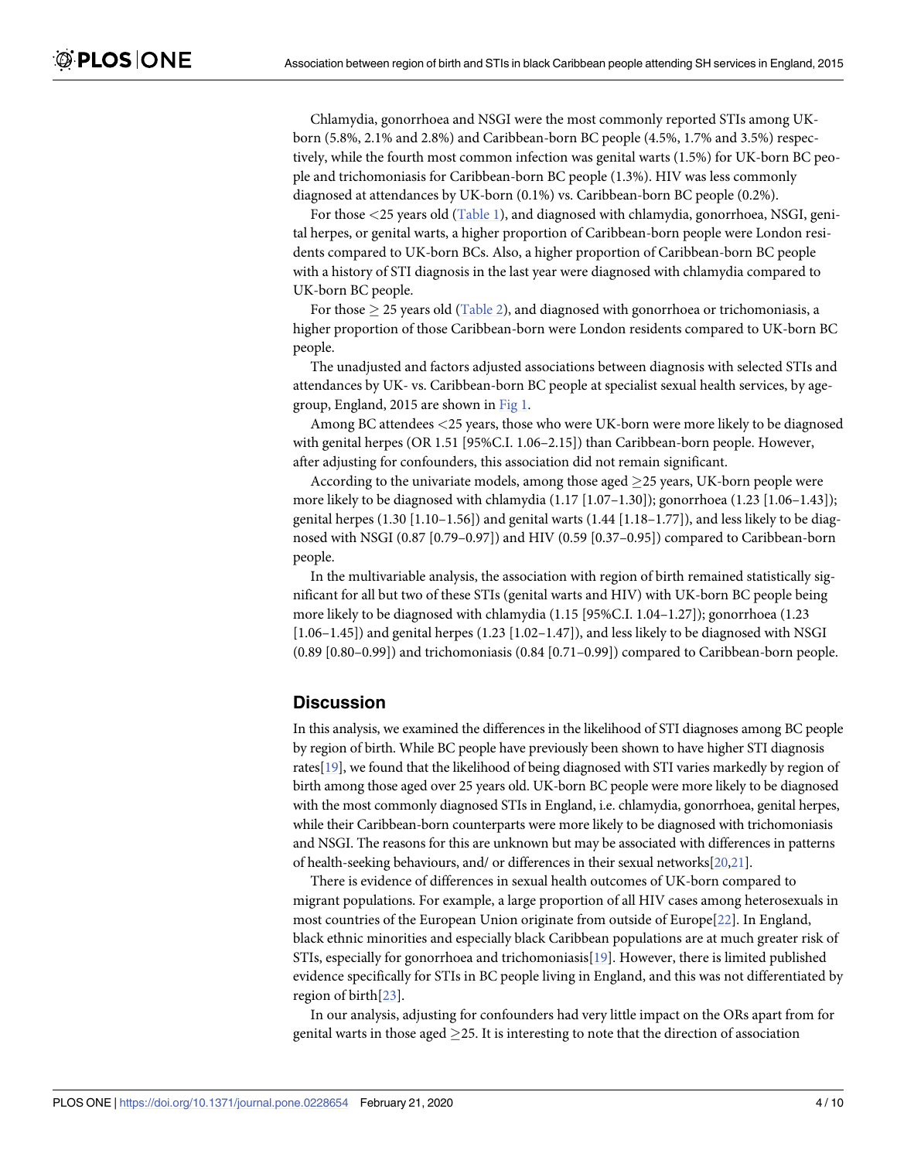<span id="page-3-0"></span>Chlamydia, gonorrhoea and NSGI were the most commonly reported STIs among UKborn (5.8%, 2.1% and 2.8%) and Caribbean-born BC people (4.5%, 1.7% and 3.5%) respectively, while the fourth most common infection was genital warts (1.5%) for UK-born BC people and trichomoniasis for Caribbean-born BC people (1.3%). HIV was less commonly diagnosed at attendances by UK-born (0.1%) vs. Caribbean-born BC people (0.2%).

For those *<*25 years old [\(Table](#page-4-0) 1), and diagnosed with chlamydia, gonorrhoea, NSGI, genital herpes, or genital warts, a higher proportion of Caribbean-born people were London residents compared to UK-born BCs. Also, a higher proportion of Caribbean-born BC people with a history of STI diagnosis in the last year were diagnosed with chlamydia compared to UK-born BC people.

For those  $>$  25 years old [\(Table](#page-5-0) 2), and diagnosed with gonorrhoea or trichomoniasis, a higher proportion of those Caribbean-born were London residents compared to UK-born BC people.

The unadjusted and factors adjusted associations between diagnosis with selected STIs and attendances by UK- vs. Caribbean-born BC people at specialist sexual health services, by agegroup, England, 2015 are shown in [Fig](#page-6-0) 1.

Among BC attendees *<*25 years, those who were UK-born were more likely to be diagnosed with genital herpes (OR 1.51 [95%C.I. 1.06–2.15]) than Caribbean-born people. However, after adjusting for confounders, this association did not remain significant.

According to the univariate models, among those aged  $\geq$  25 years, UK-born people were more likely to be diagnosed with chlamydia (1.17 [1.07–1.30]); gonorrhoea (1.23 [1.06–1.43]); genital herpes (1.30 [1.10–1.56]) and genital warts (1.44 [1.18–1.77]), and less likely to be diagnosed with NSGI (0.87 [0.79–0.97]) and HIV (0.59 [0.37–0.95]) compared to Caribbean-born people.

In the multivariable analysis, the association with region of birth remained statistically significant for all but two of these STIs (genital warts and HIV) with UK-born BC people being more likely to be diagnosed with chlamydia (1.15 [95%C.I. 1.04–1.27]); gonorrhoea (1.23  $[1.06-1.45]$ ) and genital herpes  $(1.23 \t{1.02-1.47})$ , and less likely to be diagnosed with NSGI (0.89 [0.80–0.99]) and trichomoniasis (0.84 [0.71–0.99]) compared to Caribbean-born people.

#### **Discussion**

In this analysis, we examined the differences in the likelihood of STI diagnoses among BC people by region of birth. While BC people have previously been shown to have higher STI diagnosis rates[[19\]](#page-8-0), we found that the likelihood of being diagnosed with STI varies markedly by region of birth among those aged over 25 years old. UK-born BC people were more likely to be diagnosed with the most commonly diagnosed STIs in England, i.e. chlamydia, gonorrhoea, genital herpes, while their Caribbean-born counterparts were more likely to be diagnosed with trichomoniasis and NSGI. The reasons for this are unknown but may be associated with differences in patterns of health-seeking behaviours, and/ or differences in their sexual networks[[20,21](#page-8-0)].

There is evidence of differences in sexual health outcomes of UK-born compared to migrant populations. For example, a large proportion of all HIV cases among heterosexuals in most countries of the European Union originate from outside of Europe[[22](#page-9-0)]. In England, black ethnic minorities and especially black Caribbean populations are at much greater risk of STIs, especially for gonorrhoea and trichomoniasis[\[19\]](#page-8-0). However, there is limited published evidence specifically for STIs in BC people living in England, and this was not differentiated by region of birth[\[23\]](#page-9-0).

In our analysis, adjusting for confounders had very little impact on the ORs apart from for genital warts in those aged  $\geq$  25. It is interesting to note that the direction of association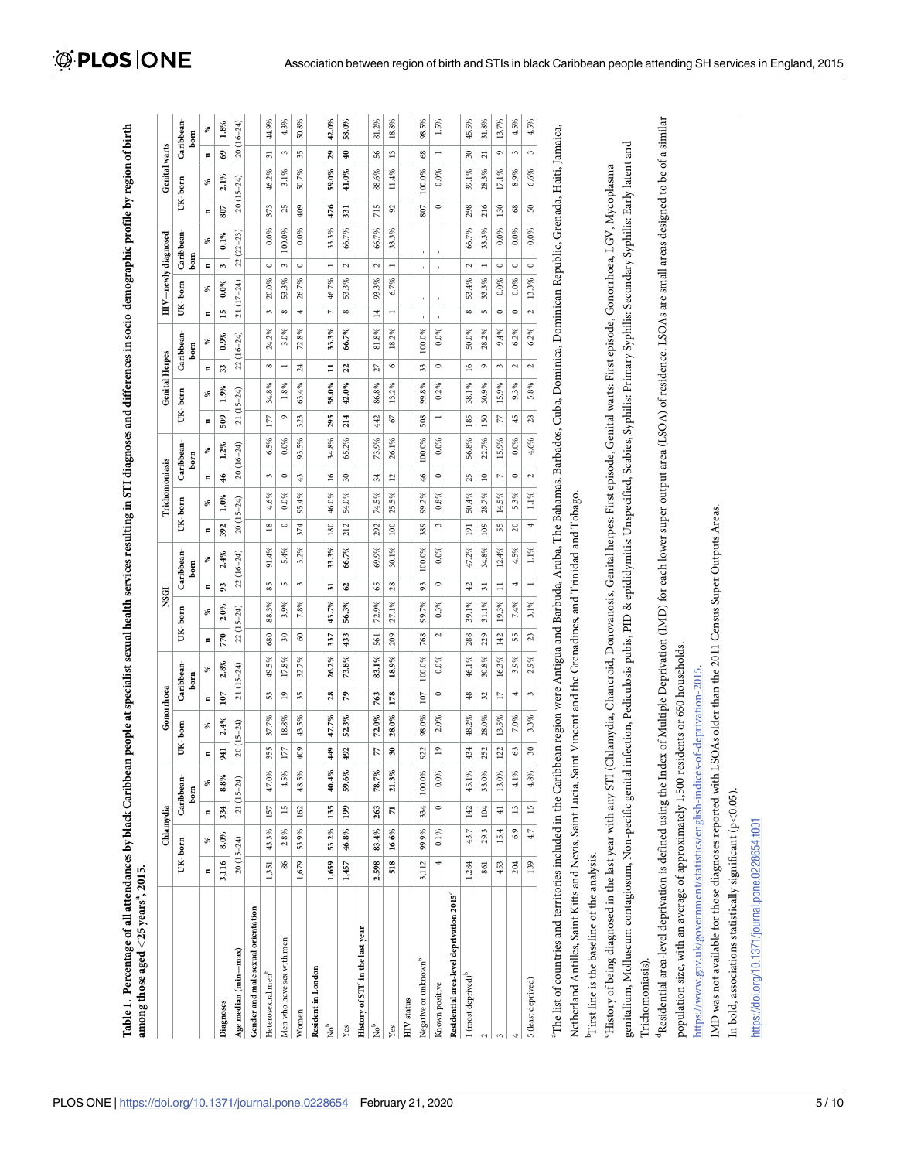<span id="page-4-0"></span>

|                                                                                                                                                                                                      |                |             | Chlamydia       |         |                 | Gonorrhoea            |                             |                                                                                                                                 |                       | <b>NSGI</b> |                    |                          |                 | Trichomoniasis |                    |         |                | <b>Genital Herpes</b> |                    |                                 |                                |              | HIV-newly diagnosed             |                |                                                                                                        | Genital warts            |                    |
|------------------------------------------------------------------------------------------------------------------------------------------------------------------------------------------------------|----------------|-------------|-----------------|---------|-----------------|-----------------------|-----------------------------|---------------------------------------------------------------------------------------------------------------------------------|-----------------------|-------------|--------------------|--------------------------|-----------------|----------------|--------------------|---------|----------------|-----------------------|--------------------|---------------------------------|--------------------------------|--------------|---------------------------------|----------------|--------------------------------------------------------------------------------------------------------|--------------------------|--------------------|
|                                                                                                                                                                                                      |                | UK-born     | Caribbean-      | born    |                 | UK-born               | Caribbean-<br>born          |                                                                                                                                 | UK-born               |             | Caribbean-<br>born |                          | UK-born         |                | Caribbean-<br>born |         | UK-born        |                       | Caribbean-<br>born |                                 | UK-born                        |              | Caribbean-<br>born              |                | $_{\rm born}$<br>ŬК                                                                                    |                          | Caribbean-<br>born |
|                                                                                                                                                                                                      | $\blacksquare$ | %           | $\blacksquare$  | S,      | $\blacksquare$  | శ                     | $\blacksquare$              | శ                                                                                                                               | $\blacksquare$        | S,          | $\blacksquare$     | శ                        | $\blacksquare$  | శ              | $\blacksquare$     | S,      | $\blacksquare$ | S,                    | $\blacksquare$     | S,                              | $\blacksquare$                 | శ            | S,<br>$\blacksquare$            | $\blacksquare$ | శ                                                                                                      | $\blacksquare$           | ℅                  |
| Diagnoses                                                                                                                                                                                            | 3,116          | 8.0%        | 334             | 8.8%    | 941             | 2.4%                  | 107                         | 2.8%                                                                                                                            | 770                   | 2.0%        | 93                 | 2.4%                     | 392             | 1.0%           | $\pmb{\ast}$       | 1.2%    | 509            | 1.9%                  | 33                 | 0.9%                            | $\overline{1}$                 | $0.0\%$      | $0.1\%$<br>$\mathfrak{S}$       | 807            | 2.1%                                                                                                   | $\mathbf{S}$             | 1.8%               |
| Age median (min-max)                                                                                                                                                                                 |                | $20(15-24)$ | $21(15-24)$     |         |                 | $20(15-24)$           | $21(15-24)$                 |                                                                                                                                 | 22                    | $(15 - 24)$ | $\overline{c}$     | $(16-24)$                | $20(15-24)$     |                | $20(16-24)$        |         | $21(15-24)$    |                       | $22(16-24)$        |                                 | $21(17-24)$                    |              | $(22 - 23)$<br>22 <sub>1</sub>  |                | $20(15-24)$                                                                                            |                          | $20(16-24)$        |
| Gender and male sexual orientation                                                                                                                                                                   |                |             |                 |         |                 |                       |                             |                                                                                                                                 |                       |             |                    |                          |                 |                |                    |         |                |                       |                    |                                 |                                |              |                                 |                |                                                                                                        |                          |                    |
| Heterosexual men <sup>b</sup>                                                                                                                                                                        | 1,351          | 43.3%       | 157             | 47.0%   | 355             | 37.7%                 | 53                          | 49.5%                                                                                                                           | 680                   | 88.3%       | 85                 | 91.4%                    | $\overline{18}$ | 4.6%           | $\omega$           | 6.5%    | 177            | 34.8%                 | ${}^{\circ}$       | 24.2%                           | $\tilde{\phantom{a}}$          | 20.0%        | 0.0%<br>$\circ$                 | 373            | 46.2%                                                                                                  | $\overline{31}$          | 44.9%              |
| Men who have sex with men                                                                                                                                                                            | 86             | 2.8%        | $\frac{15}{2}$  | 4.5%    | 177             | 18.8%                 | $\overline{19}$             | 17.8%                                                                                                                           | $\overline{\epsilon}$ | 3.9%        | S                  | 5.4%                     | $\circ$         | 0.0%           | $\circ$            | 0.0%    | $\circ$        | $1.8\%$               | $\overline{a}$     | 3.0%                            | $\infty$                       | 53.3%        | 100.0%<br>$\tilde{\phantom{a}}$ | 25             | 3.1%                                                                                                   | $\epsilon$               | 4.3%               |
| Women                                                                                                                                                                                                | 1,679          | 53.9%       | 162             | 48.5%   | 409             | 43.5%                 | 35                          | 32.7%                                                                                                                           | $\mathcal{S}^0$       | 7.8%        | $\sim$             | 3.2%                     | 374             | 95.4%          | $43\,$             | 93.5%   | 323            | 63.4%                 | 24                 | $.8\%$<br>12.                   | 4                              | 26.7%        | 0.0%<br>$\circ$                 | 409            | 50.7%                                                                                                  | 35                       | 50.8%              |
| Resident in London                                                                                                                                                                                   |                |             |                 |         |                 |                       |                             |                                                                                                                                 |                       |             |                    |                          |                 |                |                    |         |                |                       |                    |                                 |                                |              |                                 |                |                                                                                                        |                          |                    |
| $\mathring{R}^b$                                                                                                                                                                                     | 1,659          | 53.2%       | 135             | 40.4%   | 449             | 47.7%                 | $\boldsymbol{28}$           | 26.2%                                                                                                                           | 337                   | 43.7%       | $\overline{31}$    | 33.3%                    | 180             | 46.0%          | 16                 | 34.8%   | 295            | 58.0%                 | Ξ                  | 33.3%                           | $\triangleright$               | 46.7%        | 33.3%<br>$\overline{a}$         | 476            | 59.0%                                                                                                  | 29                       | 42.0%              |
| Yes                                                                                                                                                                                                  | 1,457          | 46.8%       | $\frac{8}{2}$   | 59.6%   | 492             | 52.3%                 | $\mathcal{F}_{\mathcal{A}}$ | 73.8%                                                                                                                           | 433                   | 56.3%       | $\mathcal{S}$      | 66.7%                    | 212             | 54.0%          | $30\,$             | 65.2%   | 214            | 42.0%                 | $\overline{c}$     | 66.7%                           | ${}^{\circ}$                   | 53.3%        | 86.<br>$\sim$                   | 331<br>7%      | 41.0%                                                                                                  | $\clubsuit$              | 58.0%              |
| History of STI <sup>c</sup> in the last year                                                                                                                                                         |                |             |                 |         |                 |                       |                             |                                                                                                                                 |                       |             |                    |                          |                 |                |                    |         |                |                       |                    |                                 |                                |              |                                 |                |                                                                                                        |                          |                    |
| $\mathop{\mathrm{Co}}\nolimits^b$                                                                                                                                                                    | 2,598          | 83.4%       | 263             | 78.7%   | 77              | 72.0%                 | 763                         | 83.1%                                                                                                                           | 561                   | 72.9%       | 65                 | 69.9%                    | 292             | 74.5%          | 34                 | 73.9%   | 442            | 86.8%                 | 27                 | .8%<br>$\overline{\phantom{a}}$ | 14                             | 93.3%        | 66.7%<br>$\sim$                 | 715            | .6%<br>88.                                                                                             | 56                       | 81.2%              |
| Yes                                                                                                                                                                                                  | 518            | $16.6\%$    | π               | 21.3%   | $30^{\circ}$    | 28.0%                 | 178                         | 18.9%                                                                                                                           | 209                   | 27.1%       | 28                 | 30.1%                    | $100\,$         | 25.5%          | $\overline{12}$    | 26.1%   | 2              | 13.2%                 | $\circ$            | 2%<br>$\overline{18}$           | G.<br>$\overline{\phantom{a}}$ | 7%           | 33.3%<br>$\overline{ }$         | 92             | 11.4%                                                                                                  | $13\,$                   | $18.8\%$           |
| <b>HIV</b> status                                                                                                                                                                                    |                |             |                 |         |                 |                       |                             |                                                                                                                                 |                       |             |                    |                          |                 |                |                    |         |                |                       |                    |                                 |                                |              |                                 |                |                                                                                                        |                          |                    |
| Negative or unknown <sup>b</sup>                                                                                                                                                                     | 3,112          | 99.9%       | 334             | 100.0%  | 922             | .0%<br>$\frac{8}{3}$  | 107                         | 100.0%                                                                                                                          | 768                   | 99.7%       | 93                 | 100.0%                   | 389             | 99.2%          | $46$               | 100.0%  | 508            | 99.8%                 | 33                 | 100.0%                          |                                | $\mathbf{r}$ |                                 | 807            | 100.0%                                                                                                 | 68                       | 98.5%              |
| Known positive                                                                                                                                                                                       | 4              | $0.1\%$     | $\circ$         | $0.0\%$ | $\overline{19}$ | .0%<br>$\sim$         | $\circ$                     | 0.0%                                                                                                                            | $\sim$                | 0.3%        | $\circ$            | 0.0%                     | 3               | 0.8%           | $\circ$            | $0.0\%$ |                | 0.2%                  | $\circ$            | 0.0%                            |                                | $\mathbf{r}$ |                                 | $\circ$        | 0.0%                                                                                                   | $\overline{ }$           | $1.5\%$            |
| Residential area-level deprivation 2015 <sup>d</sup>                                                                                                                                                 |                |             |                 |         |                 |                       |                             |                                                                                                                                 |                       |             |                    |                          |                 |                |                    |         |                |                       |                    |                                 |                                |              |                                 |                |                                                                                                        |                          |                    |
| $1$ (most deprived) <sup>b</sup>                                                                                                                                                                     | 1,284          | 43.7        | 142             | 45.1%   | 434             | .2%<br>$\frac{48}{5}$ | 48                          | 46.1%                                                                                                                           | 288                   | 39.1%       | 42                 | 47.2%                    | 191             | 50.4%          | 25                 | 56.8%   | 185            | 38.1%                 | 16                 | .0%<br>$\overline{50}$          | ${}^{\circ}$                   | 53.4%        | 66.7%<br>$\sim$                 | 298            | 39.1%                                                                                                  | $\overline{\phantom{0}}$ | 45.5%              |
|                                                                                                                                                                                                      | 861            | 29.3        | 104             | 33.0%   | 252             | .0%<br>28.            | 32                          | .8%<br>80.                                                                                                                      | 229                   | 31.1%       | $\overline{31}$    | 34.8%                    | 109             | 28.7%          | $\overline{10}$    | 22.7%   | 150            | 30.9%                 | $\circ$            | .2%<br>28.                      | S                              | 33.3%        | 33.3%<br>$\overline{ }$         | 216            | 28.3%                                                                                                  | $\overline{21}$          | 31.8%              |
|                                                                                                                                                                                                      | 453            | 15.4        | $\overline{+}$  | 13.0%   | 122             | 13.5%                 | $\overline{17}$             | 16.3%                                                                                                                           | 142                   | 19.3%       | $\equiv$           | 12.4%                    | 55              | 14.5%          | $\triangleright$   | 15.9%   | Z              | 15.9%                 | $\sim$             | 9.4%                            | $\circ$                        | 0.0%         | 0.0%<br>$\circ$                 | 130            | 17.1%                                                                                                  | $\circ$                  | 13.7%              |
|                                                                                                                                                                                                      | $204\,$        | $6.9$       | $\overline{13}$ | 4.1%    | 63              | 7.0%                  | 4                           | 3.9%                                                                                                                            | 55                    | 7.4%        | 4                  | 4.5%                     | $\approx$       | 5.3%           | $\circ$            | 0.0%    | 45             | 9.3%                  | $\sim$             | 6.2%                            | $\circ$                        | 0.0%         | 0.0%<br>$\circ$                 | $^{8}$         | 8.9%                                                                                                   | 3                        | 4.5%               |
| 5 (least deprived)                                                                                                                                                                                   | 139            | $4.7\,$     | 15              | $4.8\%$ | 30              | 3.3%                  | $\epsilon$                  | 2.9%                                                                                                                            | 23                    | 3.1%        | $\overline{a}$     | $1.1\%$                  | 4               | 1.1%           | $\sim$             | 4.6%    | $28$           | 5.8%                  | $\sim$             | 6.2%                            | $\sim$                         | 13.3%        | 0.0%<br>$\circ$                 | $50\,$         | 6.6%                                                                                                   | $\sim$                   | 4.5%               |
| The list of countries and territories included in the Caribb                                                                                                                                         |                |             |                 |         |                 |                       |                             | ean region were Antigua and Barbuda, Aruba, The Bahamas, Barbados, Cuba, Dominica, Dominican Republic, Grenada, Haiti, Jamaica, |                       |             |                    |                          |                 |                |                    |         |                |                       |                    |                                 |                                |              |                                 |                |                                                                                                        |                          |                    |
| Netherland Antilles, Saint Kitts and Nevis, Saint Lucia, Saint Vincent and the Grenadines,                                                                                                           |                |             |                 |         |                 |                       |                             |                                                                                                                                 |                       |             |                    | and Trinidad and Tobago. |                 |                |                    |         |                |                       |                    |                                 |                                |              |                                 |                |                                                                                                        |                          |                    |
| 'First line is the baseline of the analysis.                                                                                                                                                         |                |             |                 |         |                 |                       |                             |                                                                                                                                 |                       |             |                    |                          |                 |                |                    |         |                |                       |                    |                                 |                                |              |                                 |                |                                                                                                        |                          |                    |
| History of being diagnosed in the last year with any STI (Chlamydia, Chancroid, Donovanosis, Genital herpes: First episode, Genital warts: First episode, Gonorrhoea, LGV, Mycoplasma                |                |             |                 |         |                 |                       |                             |                                                                                                                                 |                       |             |                    |                          |                 |                |                    |         |                |                       |                    |                                 |                                |              |                                 |                |                                                                                                        |                          |                    |
| genitalium, Molluscum contagiosum, Non-pecific genital infection, Pediculosis pubis, PID                                                                                                             |                |             |                 |         |                 |                       |                             |                                                                                                                                 |                       |             |                    |                          |                 |                |                    |         |                |                       |                    |                                 |                                |              |                                 |                | & epididymitis: Unspecified, Scabies, Syphilis: Primary Syphilis: Secondary Syphilis: Early latent and |                          |                    |
| Trichomoniasis)                                                                                                                                                                                      |                |             |                 |         |                 |                       |                             |                                                                                                                                 |                       |             |                    |                          |                 |                |                    |         |                |                       |                    |                                 |                                |              |                                 |                |                                                                                                        |                          |                    |
| "Residential area-level deprivation is defined using the Index of Multiple Deprivation (IMD) for each lower super output area (LSOA) of residence. LSOAs are small areas designed to be of a similar |                |             |                 |         |                 |                       |                             |                                                                                                                                 |                       |             |                    |                          |                 |                |                    |         |                |                       |                    |                                 |                                |              |                                 |                |                                                                                                        |                          |                    |
| population size, with an average of approximately 1,500 residents or 650 households.                                                                                                                 |                |             |                 |         |                 |                       |                             |                                                                                                                                 |                       |             |                    |                          |                 |                |                    |         |                |                       |                    |                                 |                                |              |                                 |                |                                                                                                        |                          |                    |

population size, with an average of approximately 1,500 residents or 650 households. <https://www.gov.uk/government/statistics/english-indices-of-deprivation-2015>.

https://www.gov.uk/government/statistics/english-indices-of-deprivation-2015.

IMD was not available for those diagnoses reported with LSOAs older than the 2011 Census Super Outputs Areas.

IMD was not available for those diagnoses reported with LSOAs older than the 2011 Census Super Outputs Areas.

In bold, associations statistically significant (p In bold, associations statistically significant (p<0.05).

<https://doi.org/10.1371/journal.pone.0228654.t001>

https://doi.org/10.1371/journal.pone.0228654.t001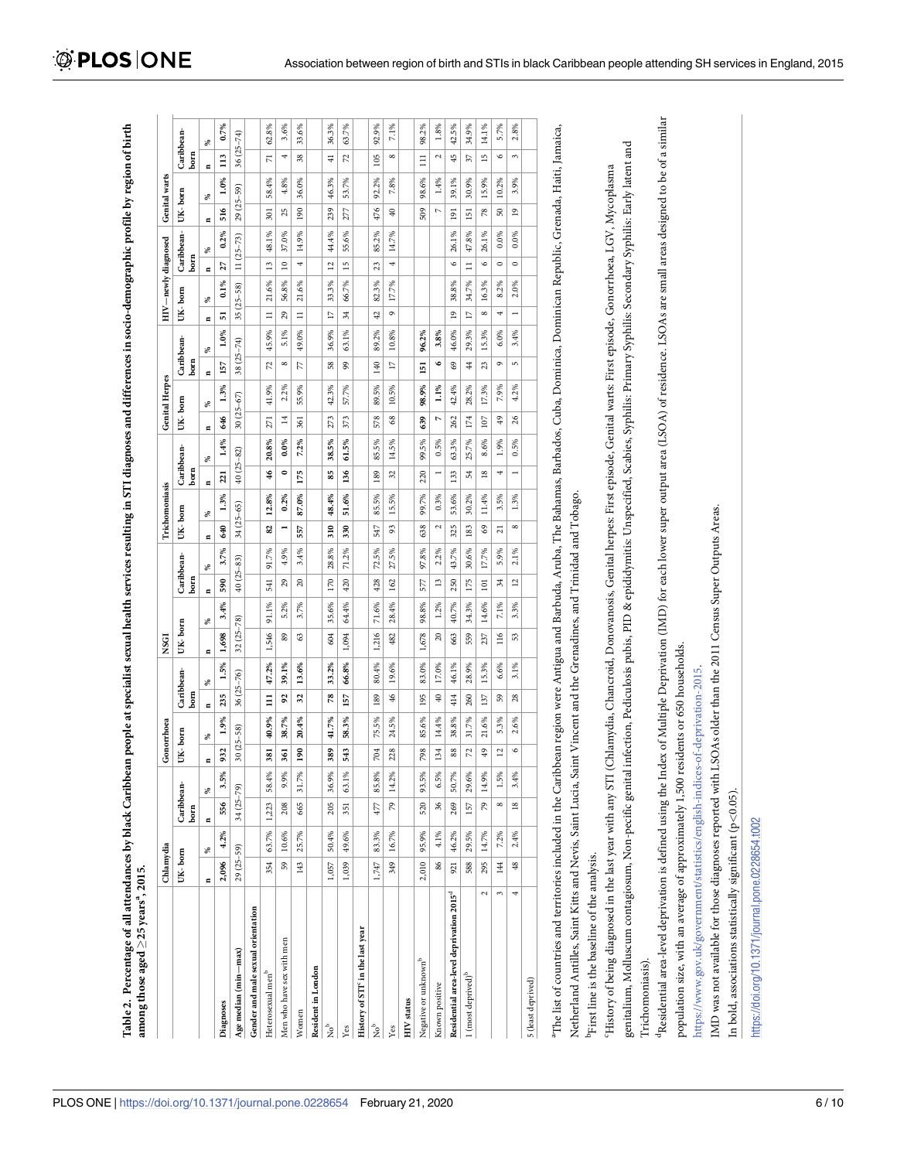<span id="page-5-0"></span>

|                                                                                                                                                                                              | Chlamydia      |       |                             |       |                 | Gonorrhoea    |                 |            | <b>NSGI</b>    |       |                    |       |                 | Trichomoniasis |                              |         |                                           | <b>Genital Herpes</b> |                    |       |                          | HIV-newly diagnosed |                     |                | Genital warts   |                |                         |         |
|----------------------------------------------------------------------------------------------------------------------------------------------------------------------------------------------|----------------|-------|-----------------------------|-------|-----------------|---------------|-----------------|------------|----------------|-------|--------------------|-------|-----------------|----------------|------------------------------|---------|-------------------------------------------|-----------------------|--------------------|-------|--------------------------|---------------------|---------------------|----------------|-----------------|----------------|-------------------------|---------|
|                                                                                                                                                                                              | UK-born        |       | Caribbean-<br>$_{\rm born}$ |       | UK-born         |               | born            | Caribbean- | UK-born        |       | Caribbean-<br>born |       | UK-born         |                | Caribbean-<br>$_{\rm{born}}$ |         | UK-born                                   |                       | Caribbean-<br>born |       | UK-born                  |                     | Caribbean-<br>born  |                | UK-born         |                | Caribbean-<br>born      |         |
|                                                                                                                                                                                              | $\blacksquare$ | %     | $\blacksquare$              | %     | $\blacksquare$  | s,            | $\blacksquare$  | %          | $\blacksquare$ | S,    | $\blacksquare$     | %     | $\blacksquare$  | %              | $\blacksquare$               | %       | $\blacksquare$                            | $\blacksquare$<br>%   | %                  |       | ℅<br>$\blacksquare$      |                     | ℅<br>$\blacksquare$ | $\blacksquare$ | %               | $\blacksquare$ | ℅                       |         |
| Diagnoses                                                                                                                                                                                    | 2,096          | 4.2%  | 556                         | 3.5%  | 932             | 1.9%          | 235             | 1.5%       | 1,698          | 3.4%  | 590                | 3.7%  | 640             | 1.3%           | 221                          | 1.4%    | 646                                       | 1.3%                  | 157                | 1.0%  | $\overline{5}$           | 0.1%                | $\overline{27}$     | 0.2%           | 516             | 113<br>$1.0\%$ | 0.7%                    |         |
| Age median (min-max)                                                                                                                                                                         | $29(25-59)$    |       | $34(25 - 79)$               |       |                 | $30(25 - 58)$ | $36(25 - 76)$   |            | $32(25 - 78)$  |       | $40(25 - 83)$      |       | $34(25 - 65)$   |                | $40(25 - 82)$                |         | $(25 - 67)$<br>$\boldsymbol{\mathcal{S}}$ |                       | $38(25 - 74)$      |       | 35(                      | $(25 - 58)$         | $11(25-73)$         |                | $29(25 - 59)$   |                | $36(25 - 74)$           |         |
| Gender and male sexual orientation                                                                                                                                                           |                |       |                             |       |                 |               |                 |            |                |       |                    |       |                 |                |                              |         |                                           |                       |                    |       |                          |                     |                     |                |                 |                |                         |         |
| Heterosexual men <sup>b</sup>                                                                                                                                                                | 354            | 63.7% | 1,223                       | 58.4% | 381             | 40.9%         | $\Xi$           | 47.2%      | 1,546          | 91.1% | 541                | 91.7% | 82              | 12.8%          | $\frac{46}{5}$               | 20.8%   | 271                                       | 41.9%                 | 72                 | 45.9% | $\equiv$                 | 21.6%               | $\overline{13}$     | 48.1%          | 58.4%<br>501    |                | 62.8%<br>$\overline{z}$ |         |
| Men who have sex with men                                                                                                                                                                    | 59             | 10.6% | 208                         | 9.9%  | 361             | 38.7%         | $\overline{5}$  | 39.1%      | 89             | 5.2%  | 29                 | 4.9%  | Η               | 0.2%           | $\bullet$                    | $0.0\%$ | $\overline{14}$                           | 2.2%                  | ${}^{\circ}$       | 5.1%  | 29                       | 56.8%               | $\approx$           | 37.0%          | 25              | $4.8\%$        | 4                       | 3.6%    |
| Women                                                                                                                                                                                        | 143            | 25.7% | 665                         | 31.7% | 90              | 20.4%         | 32              | 13.6%      | 63             | 3.7%  | 20                 | 3.4%  | 557             | 87.0%          | 175                          | 7.2%    | 361                                       | 55.9%                 | 77                 | 49.0% | $\equiv$                 | 21.6%               | 4                   | 14.9%          | 36.0%<br>190    |                | 33.6%<br>38             |         |
| Resident in London                                                                                                                                                                           |                |       |                             |       |                 |               |                 |            |                |       |                    |       |                 |                |                              |         |                                           |                       |                    |       |                          |                     |                     |                |                 |                |                         |         |
| $\mathring{R}^b$                                                                                                                                                                             | 1,057          | 50.4% | 205                         | 36.9% | 389             | 41.7%         | 78              | 33.2%      | 604            | 35.6% | 170                | 28.8% | 310             | 48.4%          | 85                           | 38.5%   | 273                                       | 42.3%                 | 58                 | 36.9% | $\overline{17}$          | 33.3%               | $\overline{12}$     | 44.4%          | 46.3%<br>239    |                | 36.3%<br>$\frac{41}{5}$ |         |
| Yes                                                                                                                                                                                          | 1,039          | 49.6% | 351                         | 63.1% | 543             | 58.3%         | 157             | 66.8%      | 1,094          | 64.4% | 420                | 71.2% | 330             | $51.6\%$       | 136                          | 61.5%   | 373                                       | 57.7%                 | 99                 | 63.1% | 34                       | 66.7%               | 15                  | 55.6%          | 53.7%<br>277    |                | 63.7%<br>25             |         |
| History of STI <sup>c</sup> in the last year                                                                                                                                                 |                |       |                             |       |                 |               |                 |            |                |       |                    |       |                 |                |                              |         |                                           |                       |                    |       |                          |                     |                     |                |                 |                |                         |         |
| $\sum_{i=1}^{n}$                                                                                                                                                                             | 1,747          | 83.3% | 477                         | 85.8% | 704             | 75.5%         | 189             | 80.4%      | 1,216          | 71.6% | 428                | 72.5% | 547             | 85.5%          | 189                          | 85.5%   | 578                                       | 89.5%                 | 140                | 89.2% | 42                       | 82.3%               | 23                  | 85.2%          | 92.2%<br>476    |                | 92.9%<br>105            |         |
| Yes                                                                                                                                                                                          | 349            | 16.7% | 79                          | 14.2% | 228             | 24.5%         | 46              | 19.6%      | 482            | 28.4% | 162                | 27.5% | 93              | 15.5%          | 32                           | 14.5%   | 8                                         | 10.5%                 | $\overline{1}$     | 10.8% | $\circ$                  | 17.7%               | 4                   | 14.7%          | $\overline{40}$ | 7.8%           | ${}^{\circ}$            | 7.1%    |
| <b>HIV</b> status                                                                                                                                                                            |                |       |                             |       |                 |               |                 |            |                |       |                    |       |                 |                |                              |         |                                           |                       |                    |       |                          |                     |                     |                |                 |                |                         |         |
| Negative or unknown <sup>b</sup>                                                                                                                                                             | 2,010          | 95.9% | 520                         | 93.5% | 798             | 85.6%         | 195             | 83.0%      | 1,678          | 98.8% | 577                | 97.8% | 638             | 99.7%          | 220                          | 99.5%   | 639                                       | 98.9%                 | 151                | 96.2% |                          |                     |                     |                | 98.6%<br>509    | $\Xi$          | 98.2%                   |         |
| Known positive                                                                                                                                                                               | 86             | 4.1%  | $36\,$                      | 6.5%  | 134             | 14.4%         | $\overline{40}$ | 17.0%      | 20             | 1.2%  | 13                 | 2.2%  | $\sim$          | 0.3%           |                              | 0.5%    | L                                         | 1.1%                  | ৩                  | 3.8%  |                          |                     |                     |                | $\overline{ }$  | 1.4%           | $\sim$                  | $1.8\%$ |
| Residential area-level deprivation 2015 <sup>d</sup>                                                                                                                                         | 921            | 46.2% | 269                         | 50.7% | 88              | 38.8%         | 414             | 46.1%      | 663            | 40.7% | 250                | 43.7% | 325             | 53.6%          | 133                          | 63.3%   | 262                                       | 42.4%                 | 69                 | 46.0% | $\overline{19}$          | 38.8%               | $\circ$             | 26.1%          | 39.1%<br>191    |                | 42.5%<br>45             |         |
| $1 \pmod{4}$                                                                                                                                                                                 | 588            | 29.5% | 157                         | 29.6% | $\mathbb{Z}$    | 31.7%         | 260             | 28.9%      | 559            | 34.3% | 175                | 30.6% | 183             | 30.2%          | 54                           | 25.7%   | 174                                       | 28.2%                 | 44                 | 29.3% | $\overline{1}$           | 34.7%               | $\equiv$            | 47.8%          | 30.9%<br>151    |                | 34.9%<br>37             |         |
| $\mathbf{\mathcal{L}}$                                                                                                                                                                       | 295            | 14.7% | 79                          | 14.9% | $\ddot{ }$      | 21.6%         | 137             | 15.3%      | 237            | 14.6% | $101\,$            | 17.7% | 69              | 11.4%          | $\overline{18}$              | 8.6%    | $107$                                     | 17.3%                 | 23                 | 15.3% | ${}^{\circ}$             | 16.3%               | $\circ$             | 26.1%          | 15.9%<br>78     |                | 14.1%<br>15             |         |
| 3                                                                                                                                                                                            | 144            | 7.2%  | $^{\circ}$                  | 1.5%  | $\overline{12}$ | 5.3%          | 59              | 6.6%       | 116            | 7.1%  | 34                 | 5.9%  | $\overline{21}$ | 3.5%           | 4                            | 1.9%    | $\spadesuit$                              | 7.9%                  | G                  | 6.0%  | 4                        | 8.2%                | $\circ$             | $0.0\%$        | 10.2%<br>$50\,$ |                | $\circ$                 | 5.7%    |
| 4                                                                                                                                                                                            | 48             | 2.4%  | $\overline{18}$             | 3.4%  | $\circ$         | 2.6%          | 28              | 3.1%       | 53             | 3.3%  | $\overline{12}$    | 2.1%  | ${}^{\circ}$    | 1.3%           | $\overline{\phantom{0}}$     | 0.5%    | 26                                        | 4.2%                  | S                  | 3.4%  | $\overline{\phantom{0}}$ | 2.0%                | $\circ$             | $0.0\%$        | $\overline{19}$ | 3.9%           | $\tilde{\phantom{a}}$   | 2.8%    |
| (least deprived)                                                                                                                                                                             |                |       |                             |       |                 |               |                 |            |                |       |                    |       |                 |                |                              |         |                                           |                       |                    |       |                          |                     |                     |                |                 |                |                         |         |
| "The list of countries and territories included in the Caribbean region were Antigua and Barbuda, Aruba, The Bahamas, Barbados, Cuba, Dominica, Dominican Republic, Grenada, Haiti, Jamaica, |                |       |                             |       |                 |               |                 |            |                |       |                    |       |                 |                |                              |         |                                           |                       |                    |       |                          |                     |                     |                |                 |                |                         |         |
| Netherland Antilles, Saint Kitts and Nevis, Saint Lucia, Saint Vincent and the Grenadines, and Trinidad and Tobago.                                                                          |                |       |                             |       |                 |               |                 |            |                |       |                    |       |                 |                |                              |         |                                           |                       |                    |       |                          |                     |                     |                |                 |                |                         |         |
| Pirst line is the baseline of the analysis.                                                                                                                                                  |                |       |                             |       |                 |               |                 |            |                |       |                    |       |                 |                |                              |         |                                           |                       |                    |       |                          |                     |                     |                |                 |                |                         |         |

Percentage of all attendances by black Caribbean people at specialist sexual health services resulting in STI diagnoses and differences in socio-demographic profile by region of birth [Table](#page-3-0) 2. Percentage of all attendances by black Caribbean people at specialist sexual health services resulting in STI diagnoses and differences in socio-demographic profile by region of birth Table 2.

genitalium, Molluscum contagiosum, Non-pecific genital infection, Pediculosis pubis, PID & epididymitis: Unspecified, Scabies, Syphilis: Primary Syphilis: Secondary Syphilis: Early latent and epididymitis: Unspecified, Scabies, Syphilis: Primary Syphilis: Secondary Syphilis: Early latent and "History of being diagnosed in the last year with any STI (Chlamydia, Chancroid, Donovanosis, Genital herpes: First episode, Genital warts: First episode, Gonorrhoea, LGV, Mycoplasma cHistory of being diagnosed in the last year with any STI (Chlamydia, Chancroid, Donovanosis, Genital herpes: First episode, Genital warts: First episode, Gonorrhoea, LGV, Mycoplasma genitalium, Molluscum contagiosum, Non-pecific genital infection, Pediculosis pubis, PID Trichomoniasis). Trichomoniasis).

Tesidential area-level deprivation is defined using the Index of Multiple Deprivation (IMD) for each lower super output area (LSOA) of residence. LSOAs are small areas designed to be of a similar dResidential area-level deprivation is defined using the Index of Multiple Deprivation (IMD) for each lower super output area (LSOA) of residence. LSOAs are small areas designed to be of a similar population size, with an average of approximately 1,500 residents or 650 households. population size, with an average of approximately 1,500 residents or 650 households.

https://www.gov.uk/government/statistics/english-indices-of-deprivation-2015. <https://www.gov.uk/government/statistics/english-indices-of-deprivation-2015>. IMD was not available for those diagnoses reported with LSOAs older than the 2011 Census Super Outputs Areas. IMD was not available for those diagnoses reported with LSOAs older than the 2011 Census Super Outputs Areas.

In bold, associations statistically significant (p<0.05). https://doi.org/10.1371/journal.pone.0228654.t002 In bold, associations statistically significant (p

<https://doi.org/10.1371/journal.pone.0228654.t002>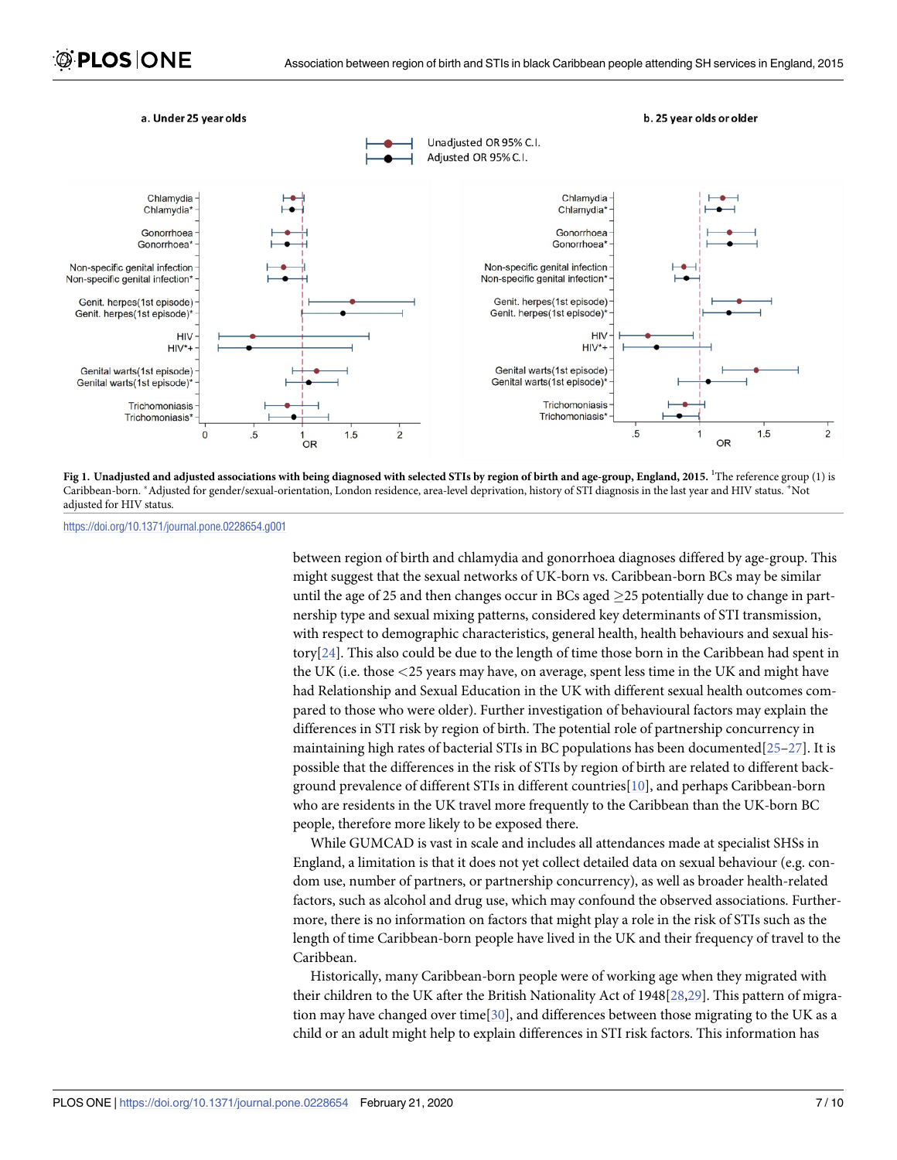<span id="page-6-0"></span>

[Fig](#page-3-0) 1. Unadjusted and adjusted associations with being diagnosed with selected STIs by region of birth and age-group, England, 2015. <sup>1</sup>The reference group (1) is Caribbean-born. �Adjusted for gender/sexual-orientation, London residence, area-level deprivation, history of STI diagnosis in the last year and HIV status. <sup>+</sup> Not adjusted for HIV status.

<https://doi.org/10.1371/journal.pone.0228654.g001>

between region of birth and chlamydia and gonorrhoea diagnoses differed by age-group. This might suggest that the sexual networks of UK-born vs. Caribbean-born BCs may be similar until the age of 25 and then changes occur in BCs aged  $\geq$  25 potentially due to change in partnership type and sexual mixing patterns, considered key determinants of STI transmission, with respect to demographic characteristics, general health, health behaviours and sexual history[[24](#page-9-0)]. This also could be due to the length of time those born in the Caribbean had spent in the UK (i.e. those *<*25 years may have, on average, spent less time in the UK and might have had Relationship and Sexual Education in the UK with different sexual health outcomes compared to those who were older). Further investigation of behavioural factors may explain the differences in STI risk by region of birth. The potential role of partnership concurrency in maintaining high rates of bacterial STIs in BC populations has been documented[[25–27\]](#page-9-0). It is possible that the differences in the risk of STIs by region of birth are related to different background prevalence of different STIs in different countries[[10](#page-8-0)], and perhaps Caribbean-born who are residents in the UK travel more frequently to the Caribbean than the UK-born BC people, therefore more likely to be exposed there.

While GUMCAD is vast in scale and includes all attendances made at specialist SHSs in England, a limitation is that it does not yet collect detailed data on sexual behaviour (e.g. condom use, number of partners, or partnership concurrency), as well as broader health-related factors, such as alcohol and drug use, which may confound the observed associations. Furthermore, there is no information on factors that might play a role in the risk of STIs such as the length of time Caribbean-born people have lived in the UK and their frequency of travel to the Caribbean.

Historically, many Caribbean-born people were of working age when they migrated with their children to the UK after the British Nationality Act of 1948[[28](#page-9-0),[29](#page-9-0)]. This pattern of migration may have changed over time[ $30$ ], and differences between those migrating to the UK as a child or an adult might help to explain differences in STI risk factors. This information has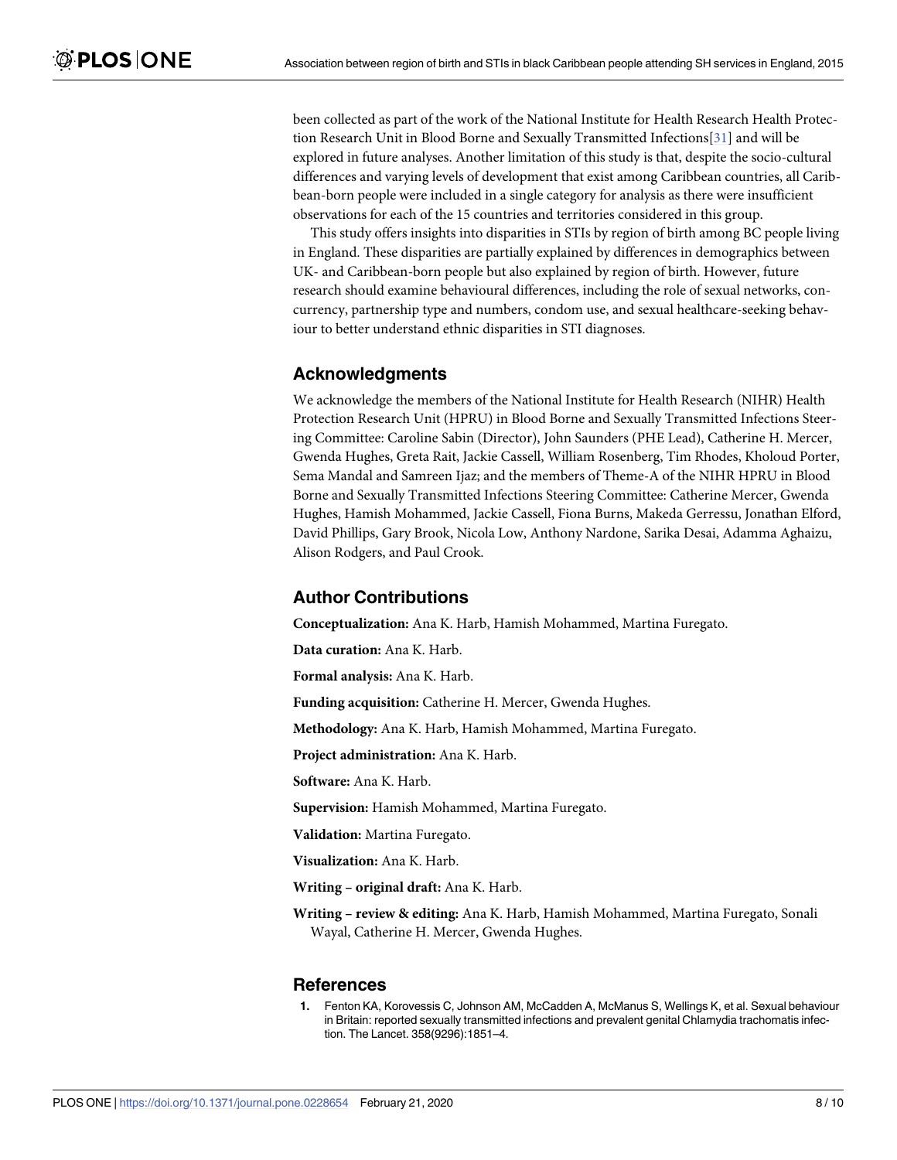<span id="page-7-0"></span>been collected as part of the work of the National Institute for Health Research Health Protection Research Unit in Blood Borne and Sexually Transmitted Infections[\[31\]](#page-9-0) and will be explored in future analyses. Another limitation of this study is that, despite the socio-cultural differences and varying levels of development that exist among Caribbean countries, all Caribbean-born people were included in a single category for analysis as there were insufficient observations for each of the 15 countries and territories considered in this group.

This study offers insights into disparities in STIs by region of birth among BC people living in England. These disparities are partially explained by differences in demographics between UK- and Caribbean-born people but also explained by region of birth. However, future research should examine behavioural differences, including the role of sexual networks, concurrency, partnership type and numbers, condom use, and sexual healthcare-seeking behaviour to better understand ethnic disparities in STI diagnoses.

#### **Acknowledgments**

We acknowledge the members of the National Institute for Health Research (NIHR) Health Protection Research Unit (HPRU) in Blood Borne and Sexually Transmitted Infections Steering Committee: Caroline Sabin (Director), John Saunders (PHE Lead), Catherine H. Mercer, Gwenda Hughes, Greta Rait, Jackie Cassell, William Rosenberg, Tim Rhodes, Kholoud Porter, Sema Mandal and Samreen Ijaz; and the members of Theme-A of the NIHR HPRU in Blood Borne and Sexually Transmitted Infections Steering Committee: Catherine Mercer, Gwenda Hughes, Hamish Mohammed, Jackie Cassell, Fiona Burns, Makeda Gerressu, Jonathan Elford, David Phillips, Gary Brook, Nicola Low, Anthony Nardone, Sarika Desai, Adamma Aghaizu, Alison Rodgers, and Paul Crook.

#### **Author Contributions**

**Conceptualization:** Ana K. Harb, Hamish Mohammed, Martina Furegato.

**Data curation:** Ana K. Harb.

**Formal analysis:** Ana K. Harb.

**Funding acquisition:** Catherine H. Mercer, Gwenda Hughes.

**Methodology:** Ana K. Harb, Hamish Mohammed, Martina Furegato.

**Project administration:** Ana K. Harb.

**Software:** Ana K. Harb.

**Supervision:** Hamish Mohammed, Martina Furegato.

**Validation:** Martina Furegato.

**Visualization:** Ana K. Harb.

**Writing – original draft:** Ana K. Harb.

**Writing – review & editing:** Ana K. Harb, Hamish Mohammed, Martina Furegato, Sonali Wayal, Catherine H. Mercer, Gwenda Hughes.

#### **References**

**[1](#page-1-0).** Fenton KA, Korovessis C, Johnson AM, McCadden A, McManus S, Wellings K, et al. Sexual behaviour in Britain: reported sexually transmitted infections and prevalent genital Chlamydia trachomatis infection. The Lancet. 358(9296):1851–4.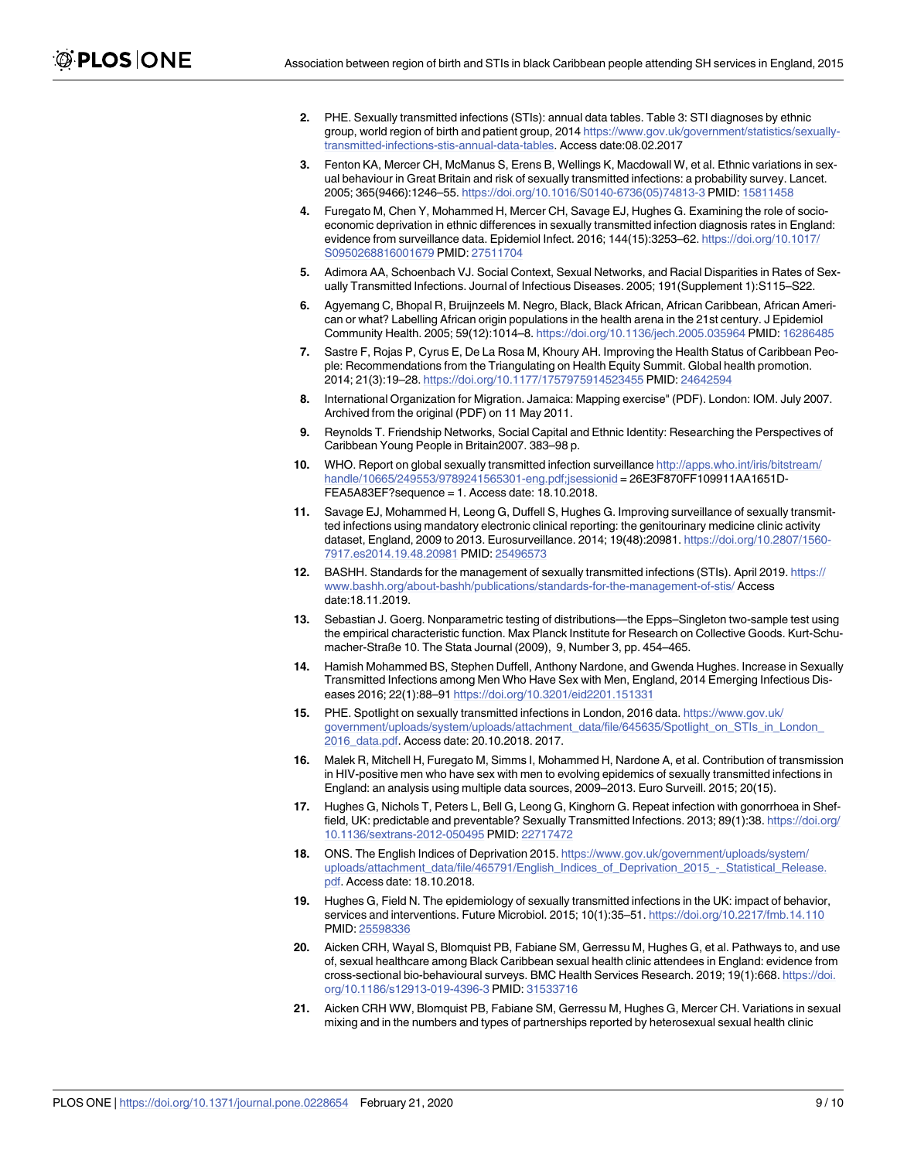- <span id="page-8-0"></span>**[2](#page-1-0).** PHE. Sexually transmitted infections (STIs): annual data tables. Table 3: STI diagnoses by ethnic group, world region of birth and patient group, 2014 [https://www.gov.uk/government/statistics/sexually](https://www.gov.uk/government/statistics/sexually-transmitted-infections-stis-annual-data-tables)[transmitted-infections-stis-annual-data-tables](https://www.gov.uk/government/statistics/sexually-transmitted-infections-stis-annual-data-tables). Access date:08.02.2017
- **[3](#page-1-0).** Fenton KA, Mercer CH, McManus S, Erens B, Wellings K, Macdowall W, et al. Ethnic variations in sexual behaviour in Great Britain and risk of sexually transmitted infections: a probability survey. Lancet. 2005; 365(9466):1246–55. [https://doi.org/10.1016/S0140-6736\(05\)74813-3](https://doi.org/10.1016/S0140-6736(05)74813-3) PMID: [15811458](http://www.ncbi.nlm.nih.gov/pubmed/15811458)
- **4.** Furegato M, Chen Y, Mohammed H, Mercer CH, Savage EJ, Hughes G. Examining the role of socioeconomic deprivation in ethnic differences in sexually transmitted infection diagnosis rates in England: evidence from surveillance data. Epidemiol Infect. 2016; 144(15):3253–62. [https://doi.org/10.1017/](https://doi.org/10.1017/S0950268816001679) [S0950268816001679](https://doi.org/10.1017/S0950268816001679) PMID: [27511704](http://www.ncbi.nlm.nih.gov/pubmed/27511704)
- **[5](#page-1-0).** Adimora AA, Schoenbach VJ. Social Context, Sexual Networks, and Racial Disparities in Rates of Sexually Transmitted Infections. Journal of Infectious Diseases. 2005; 191(Supplement 1):S115–S22.
- **[6](#page-1-0).** Agyemang C, Bhopal R, Bruijnzeels M. Negro, Black, Black African, African Caribbean, African American or what? Labelling African origin populations in the health arena in the 21st century. J Epidemiol Community Health. 2005; 59(12):1014–8. <https://doi.org/10.1136/jech.2005.035964> PMID: [16286485](http://www.ncbi.nlm.nih.gov/pubmed/16286485)
- **[7](#page-1-0).** Sastre F, Rojas P, Cyrus E, De La Rosa M, Khoury AH. Improving the Health Status of Caribbean People: Recommendations from the Triangulating on Health Equity Summit. Global health promotion. 2014; 21(3):19–28. <https://doi.org/10.1177/1757975914523455> PMID: [24642594](http://www.ncbi.nlm.nih.gov/pubmed/24642594)
- **[8](#page-1-0).** International Organization for Migration. Jamaica: Mapping exercise" (PDF). London: IOM. July 2007. Archived from the original (PDF) on 11 May 2011.
- **[9](#page-1-0).** Reynolds T. Friendship Networks, Social Capital and Ethnic Identity: Researching the Perspectives of Caribbean Young People in Britain2007. 383–98 p.
- **[10](#page-1-0).** WHO. Report on global sexually transmitted infection surveillance [http://apps.who.int/iris/bitstream/](http://apps.who.int/iris/bitstream/handle/10665/249553/9789241565301-eng.pdf;jsessionid) [handle/10665/249553/9789241565301-eng.pdf;jsessionid](http://apps.who.int/iris/bitstream/handle/10665/249553/9789241565301-eng.pdf;jsessionid) = 26E3F870FF109911AA1651D-FEA5A83EF?sequence = 1. Access date: 18.10.2018.
- **[11](#page-1-0).** Savage EJ, Mohammed H, Leong G, Duffell S, Hughes G. Improving surveillance of sexually transmitted infections using mandatory electronic clinical reporting: the genitourinary medicine clinic activity dataset, England, 2009 to 2013. Eurosurveillance. 2014; 19(48):20981. [https://doi.org/10.2807/1560-](https://doi.org/10.2807/1560-7917.es2014.19.48.20981) [7917.es2014.19.48.20981](https://doi.org/10.2807/1560-7917.es2014.19.48.20981) PMID: [25496573](http://www.ncbi.nlm.nih.gov/pubmed/25496573)
- **[12](#page-2-0).** BASHH. Standards for the management of sexually transmitted infections (STIs). April 2019. [https://](https://www.bashh.org/about-bashh/publications/standards-for-the-management-of-stis/) [www.bashh.org/about-bashh/publications/standards-for-the-management-of-stis/](https://www.bashh.org/about-bashh/publications/standards-for-the-management-of-stis/) Access date:18.11.2019.
- **[13](#page-2-0).** Sebastian J. Goerg. Nonparametric testing of distributions—the Epps–Singleton two-sample test using the empirical characteristic function. Max Planck Institute for Research on Collective Goods. Kurt-Schumacher-Straße 10. The Stata Journal (2009), 9, Number 3, pp. 454–465.
- **[14](#page-2-0).** Hamish Mohammed BS, Stephen Duffell, Anthony Nardone, and Gwenda Hughes. Increase in Sexually Transmitted Infections among Men Who Have Sex with Men, England, 2014 Emerging Infectious Diseases 2016; 22(1):88–91 <https://doi.org/10.3201/eid2201.151331>
- **[15](#page-2-0).** PHE. Spotlight on sexually transmitted infections in London, 2016 data. [https://www.gov.uk/](https://www.gov.uk/government/uploads/system/uploads/attachment_data/file/645635/Spotlight_on_STIs_in_London_2016_data.pdf) [government/uploads/system/uploads/attachment\\_data/file/645635/Spotlight\\_on\\_STIs\\_in\\_London\\_](https://www.gov.uk/government/uploads/system/uploads/attachment_data/file/645635/Spotlight_on_STIs_in_London_2016_data.pdf) [2016\\_data.pdf.](https://www.gov.uk/government/uploads/system/uploads/attachment_data/file/645635/Spotlight_on_STIs_in_London_2016_data.pdf) Access date: 20.10.2018. 2017.
- **[16](#page-2-0).** Malek R, Mitchell H, Furegato M, Simms I, Mohammed H, Nardone A, et al. Contribution of transmission in HIV-positive men who have sex with men to evolving epidemics of sexually transmitted infections in England: an analysis using multiple data sources, 2009–2013. Euro Surveill. 2015; 20(15).
- **[17](#page-2-0).** Hughes G, Nichols T, Peters L, Bell G, Leong G, Kinghorn G. Repeat infection with gonorrhoea in Sheffield, UK: predictable and preventable? Sexually Transmitted Infections. 2013; 89(1):38. [https://doi.org/](https://doi.org/10.1136/sextrans-2012-050495) [10.1136/sextrans-2012-050495](https://doi.org/10.1136/sextrans-2012-050495) PMID: [22717472](http://www.ncbi.nlm.nih.gov/pubmed/22717472)
- **[18](#page-2-0).** ONS. The English Indices of Deprivation 2015. [https://www.gov.uk/government/uploads/system/](https://www.gov.uk/government/uploads/system/uploads/attachment_data/file/465791/English_Indices_of_Deprivation_2015_-_Statistical_Release.pdf) [uploads/attachment\\_data/file/465791/English\\_Indices\\_of\\_Deprivation\\_2015\\_-\\_Statistical\\_Release.](https://www.gov.uk/government/uploads/system/uploads/attachment_data/file/465791/English_Indices_of_Deprivation_2015_-_Statistical_Release.pdf) [pdf](https://www.gov.uk/government/uploads/system/uploads/attachment_data/file/465791/English_Indices_of_Deprivation_2015_-_Statistical_Release.pdf). Access date: 18.10.2018.
- **[19](#page-3-0).** Hughes G, Field N. The epidemiology of sexually transmitted infections in the UK: impact of behavior, services and interventions. Future Microbiol. 2015; 10(1):35–51. <https://doi.org/10.2217/fmb.14.110> PMID: [25598336](http://www.ncbi.nlm.nih.gov/pubmed/25598336)
- **[20](#page-3-0).** Aicken CRH, Wayal S, Blomquist PB, Fabiane SM, Gerressu M, Hughes G, et al. Pathways to, and use of, sexual healthcare among Black Caribbean sexual health clinic attendees in England: evidence from cross-sectional bio-behavioural surveys. BMC Health Services Research. 2019; 19(1):668. [https://doi.](https://doi.org/10.1186/s12913-019-4396-3) [org/10.1186/s12913-019-4396-3](https://doi.org/10.1186/s12913-019-4396-3) PMID: [31533716](http://www.ncbi.nlm.nih.gov/pubmed/31533716)
- **[21](#page-3-0).** Aicken CRH WW, Blomquist PB, Fabiane SM, Gerressu M, Hughes G, Mercer CH. Variations in sexual mixing and in the numbers and types of partnerships reported by heterosexual sexual health clinic